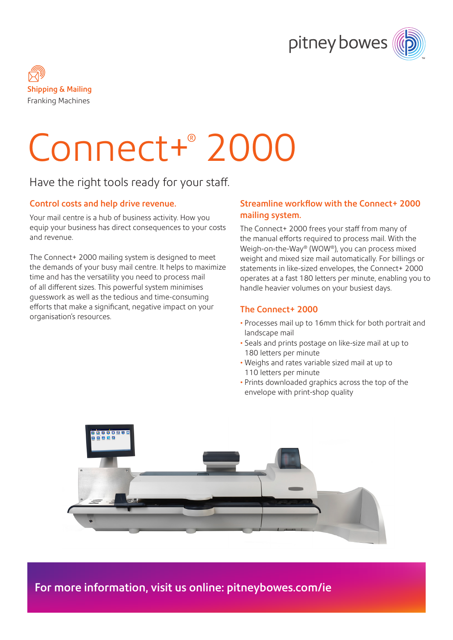



# Connect+® 2000

## Have the right tools ready for your staff.

#### Control costs and help drive revenue.

Your mail centre is a hub of business activity. How you equip your business has direct consequences to your costs and revenue.

The Connect+ 2000 mailing system is designed to meet the demands of your busy mail centre. It helps to maximize time and has the versatility you need to process mail of all different sizes. This powerful system minimises guesswork as well as the tedious and time-consuming efforts that make a significant, negative impact on your organisation's resources.

### Streamline workflow with the Connect+ 2000 mailing system.

The Connect+ 2000 frees your staff from many of the manual efforts required to process mail. With the Weigh-on-the-Way® (WOW®), you can process mixed weight and mixed size mail automatically. For billings or statements in like-sized envelopes, the Connect+ 2000 operates at a fast 180 letters per minute, enabling you to handle heavier volumes on your busiest days.

#### The Connect+ 2000

- Processes mail up to 16mm thick for both portrait and landscape mail
- Seals and prints postage on like-size mail at up to 180 letters per minute
- Weighs and rates variable sized mail at up to 110 letters per minute
- Prints downloaded graphics across the top of the envelope with print-shop quality



For more information, visit us online: [pitneybowes.com/ie](http://pitneybowes.com/ie)